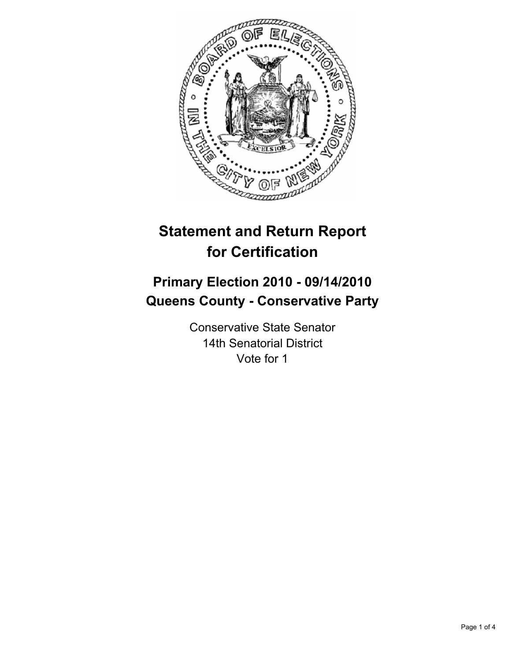

# **Statement and Return Report for Certification**

# **Primary Election 2010 - 09/14/2010 Queens County - Conservative Party**

Conservative State Senator 14th Senatorial District Vote for 1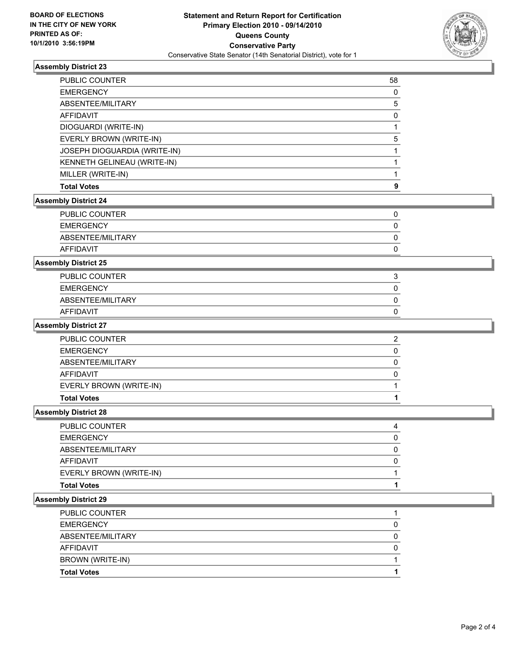

## **Assembly District 23**

| PUBLIC COUNTER               | 58          |
|------------------------------|-------------|
| <b>EMERGENCY</b>             | 0           |
| ABSENTEE/MILITARY            | 5           |
| <b>AFFIDAVIT</b>             | 0           |
| DIOGUARDI (WRITE-IN)         | 1           |
| EVERLY BROWN (WRITE-IN)      | 5           |
| JOSEPH DIOGUARDIA (WRITE-IN) | 1           |
| KENNETH GELINEAU (WRITE-IN)  | 1           |
| MILLER (WRITE-IN)            | 1           |
| <b>Total Votes</b>           | 9           |
| <b>Assembly District 24</b>  |             |
| PUBLIC COUNTER               | 0           |
| <b>EMERGENCY</b>             | $\mathbf 0$ |
| ABSENTEE/MILITARY            | 0           |
| <b>AFFIDAVIT</b>             | 0           |
| <b>Assembly District 25</b>  |             |
| PUBLIC COUNTER               | 3           |
| <b>EMERGENCY</b>             | 0           |
| ABSENTEE/MILITARY            | 0           |
| <b>AFFIDAVIT</b>             | 0           |
| <b>Assembly District 27</b>  |             |
| PUBLIC COUNTER               | 2           |
| <b>EMERGENCY</b>             | 0           |
| ABSENTEE/MILITARY            | 0           |
| <b>AFFIDAVIT</b>             | 0           |
| EVERLY BROWN (WRITE-IN)      | 1           |
| <b>Total Votes</b>           | 1           |
| <b>Assembly District 28</b>  |             |
| PUBLIC COUNTER               | 4           |
| <b>EMERGENCY</b>             | 0           |
| ABSENTEE/MILITARY            | 0           |
| <b>AFFIDAVIT</b>             | $\mathbf 0$ |
| EVERLY BROWN (WRITE-IN)      | 1           |
| <b>Total Votes</b>           | 1           |
| <b>Assembly District 29</b>  |             |
| PUBLIC COUNTER               | 1           |
| <b>EMERGENCY</b>             | 0           |
| ABSENTEE/MILITARY            | 0           |
| <b>AFFIDAVIT</b>             | $\pmb{0}$   |
| BROWN (WRITE-IN)             | 1           |
| <b>Total Votes</b>           | 1           |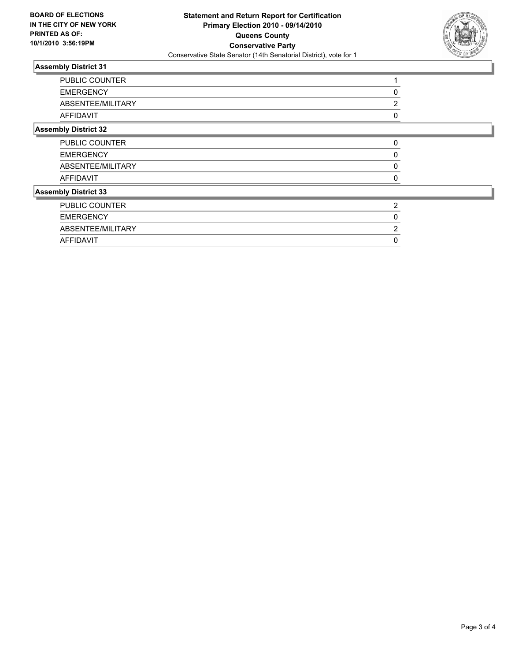

## **Assembly District 31**

|                             | PUBLIC COUNTER    |          |  |
|-----------------------------|-------------------|----------|--|
|                             | <b>EMERGENCY</b>  |          |  |
|                             | ABSENTEE/MILITARY | ◠        |  |
| <b>AFFIDAVIT</b>            |                   |          |  |
| <b>Assembly District 32</b> |                   |          |  |
|                             | PUBLIC COUNTER    | $\Omega$ |  |
|                             | <b>EMERGENCY</b>  |          |  |
|                             | ABSENTEE/MILITARY |          |  |
| <b>AFFIDAVIT</b>            |                   |          |  |
| <b>Assembly District 33</b> |                   |          |  |
|                             | PUBLIC COUNTER    | 2        |  |
|                             | <b>EMERGENCY</b>  |          |  |
|                             | ABSENTEE/MILITARY |          |  |
| AFFIDAVIT                   |                   |          |  |